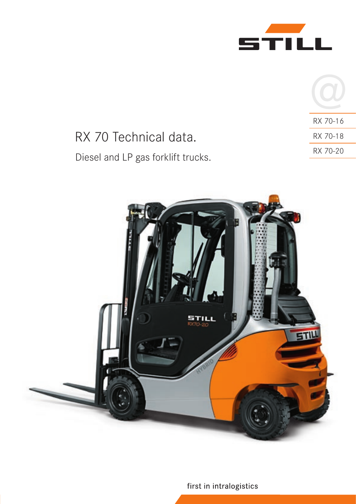

|                                    | RX 70-16 |
|------------------------------------|----------|
| RX 70 Technical data.              | RX 70-18 |
| Diesel and LP gas forklift trucks. | RX 70-20 |
|                                    |          |



first in intralogistics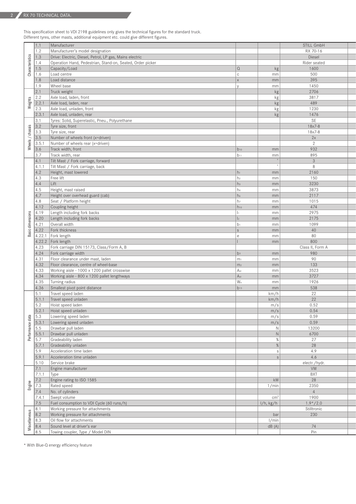This specification sheet to VDI 2198 guidelines only gives the technical figures for the standard truck. Different tyres, other masts, additional equipment etc. could give different figures.

|                                                                               | 1.1                                                     | Manufacturer                                                    |                 |                        | STILL GmbH       |
|-------------------------------------------------------------------------------|---------------------------------------------------------|-----------------------------------------------------------------|-----------------|------------------------|------------------|
|                                                                               | 1.2                                                     | Manufacturer's model designation                                |                 |                        | RX 70-16         |
|                                                                               |                                                         | Drive: Electric, Diesel, Petrol, LP gas, Mains electric         |                 |                        | Diesel           |
| $\begin{array}{c c}\n\text{sg} & 1.3 \\ \hline\n\text{Fe} & 1.4\n\end{array}$ |                                                         | Operation Hand, Pedestrian, Stand-on, Seated, Order picker      |                 |                        | Rider seated     |
| g                                                                             | $ 1.5\rangle$                                           | Capacity/Load                                                   | l Q             | kg                     | 1600             |
| $\overline{5}$   1.6                                                          |                                                         | Load centre                                                     |                 | mm                     | 500              |
|                                                                               | 1.8                                                     | Load distance                                                   |                 | mm                     | 395              |
|                                                                               | 1.9                                                     | Wheel base                                                      |                 | mm                     | 1450             |
|                                                                               | $\vert$ 2.1                                             | Truck weight                                                    |                 | kg <sub>2</sub>        | 2706             |
| S,                                                                            | 2.2                                                     | Axle load, laden, front                                         |                 | kg <sub>2</sub>        | 3817             |
| 忘                                                                             |                                                         | 2.2.1 Axle load, laden, rear                                    |                 | kg                     | 489              |
|                                                                               | 2.3                                                     | Axle load, unladen, front                                       |                 | kg                     | 1230             |
|                                                                               |                                                         | $\vert$ 2.3.1 Axle load, unladen, rear                          |                 | kg <sub>2</sub>        | 1476             |
|                                                                               | 3.1                                                     | Tyres: Solid, Superelastic, Pneu., Polyurethane                 |                 |                        | SE               |
|                                                                               |                                                         | Tyre size, front                                                |                 |                        | $18x7-8$         |
|                                                                               | $rac{3.2}{6.3}$                                         | Tyre size, rear                                                 |                 |                        | $18x7-8$         |
| $\overline{\phantom{a}}$                                                      | 3.5                                                     | Number of wheels front (x=driven)                               |                 |                        | 2x               |
| els                                                                           | 3.5.1                                                   | Number of wheels rear (x=driven)                                |                 |                        | 2                |
| ₹                                                                             | 3.6                                                     | Track width, front                                              | $b_{10}$        | mm                     | 932              |
|                                                                               | 3.7                                                     | Track width, rear                                               | $b_{11}$        | mm                     | 895              |
|                                                                               | $ 4.1\rangle$                                           | Tilt Mast / Fork carriage, forward                              |                 | $\bullet$              | $\mathbf{3}$     |
|                                                                               |                                                         | 4.1.1 Tilt Mast / Fork carriage, back                           |                 |                        | 8                |
|                                                                               |                                                         |                                                                 | $h_1$           |                        | 2160             |
|                                                                               | 4.2                                                     | Height, mast lowered                                            |                 | mm                     |                  |
|                                                                               | 4.3                                                     | Free lift                                                       | h <sub>2</sub>  | mm                     | 150              |
|                                                                               | 4.4                                                     | Lift                                                            | h <sub>3</sub>  | mm                     | 3230             |
|                                                                               | $ 4.5\rangle$                                           | Height, mast raised                                             | $h_4$           | mm                     | 3873             |
|                                                                               | 4.7                                                     | Height over overhead guard (cab)                                | h <sub>6</sub>  | mm                     | 2117             |
|                                                                               | 4.8                                                     | Seat / Platform height                                          | h <sub>7</sub>  | mm                     | 1015             |
|                                                                               |                                                         | 4.12 Coupling height                                            | $h_{10}$        | mm                     | 474              |
| S.                                                                            |                                                         | 4.19 Length including fork backs                                |                 | mm                     | 2975             |
|                                                                               |                                                         | 4.20 Length including fork backs                                | $\vert$ 2       | mm                     | 2175             |
|                                                                               |                                                         | 4.21 Overall width                                              |                 | mm                     | 1099             |
|                                                                               |                                                         | 4.22 Fork thickness                                             | $\sim$          | mm                     | 40               |
|                                                                               |                                                         | 4.22.1 Fork length                                              |                 | mm                     | 80               |
|                                                                               |                                                         | $4.22.2$ Fork length                                            |                 | mm                     | 800              |
|                                                                               |                                                         |                                                                 |                 |                        |                  |
|                                                                               |                                                         |                                                                 |                 |                        |                  |
|                                                                               |                                                         | 4.23 Fork carriage DIN 15173, Class/Form A, B                   |                 |                        | Class II, Form A |
|                                                                               |                                                         | $ 4.24 $ Fork carriage width                                    | b <sub>3</sub>  | mm                     | 980              |
|                                                                               |                                                         | 4.31   Floor clearance under mast, laden                        | m <sub>1</sub>  | mm                     | 90               |
|                                                                               |                                                         | 4.32   Floor clearance, centre of wheel-base                    | m <sub>2</sub>  | mm                     | $\boxed{133}$    |
|                                                                               |                                                         | $ 4.33 $ Working aisle - 1000 x 1200 pallet crosswise           | A <sub>st</sub> | mm                     | 3523             |
|                                                                               |                                                         | $4.34$ Working aisle - 800 x 1200 pallet lengthways             | A <sub>st</sub> | mm                     | 3727             |
|                                                                               |                                                         | 4.35 Turning radius                                             | Wa              | mm                     | 1926             |
|                                                                               |                                                         | 4.36 Smallest pivot point distance                              | $b_{13}$        | mm                     | 538              |
|                                                                               | 5.1                                                     | Travel speed laden                                              |                 | km/h                   | 22               |
|                                                                               |                                                         | $5.1.1$ Travel speed unladen                                    |                 | km/h                   | 22               |
|                                                                               | 5.2                                                     | Hoist speed laden                                               |                 |                        | 0.52             |
|                                                                               |                                                         |                                                                 |                 | m/s<br>m/s             | 0.54             |
|                                                                               |                                                         | $5.2.1$ Hoist speed unladen                                     |                 |                        |                  |
| data                                                                          | 5.3                                                     | Lowering speed laden                                            |                 | m/s                    | 0.59             |
| ஜ                                                                             |                                                         | 5.3.1 Lowering speed unladen                                    |                 | m/s                    | 0.59             |
|                                                                               | 5.5                                                     | Drawbar pull laden                                              |                 | $\mathbb{N}$           | 13200            |
|                                                                               |                                                         | 5.5.1 Drawbar pull unladen                                      |                 | $\mathbb{N}$           | 6700             |
| உ                                                                             | 5.7                                                     | Gradeability laden                                              |                 | %                      | 27               |
|                                                                               |                                                         | 5.7.1 Gradeability unladen                                      |                 | $\%$                   | 28               |
|                                                                               | 5.9                                                     | Acceleration time laden                                         |                 | $\mathcal{S}$          | 4.9              |
|                                                                               |                                                         | $\vert$ 5.9.1 Acceleration time unladen                         |                 |                        | 4.6              |
|                                                                               |                                                         | 5.10 Service brake                                              |                 |                        | electr./hydr.    |
|                                                                               |                                                         | 7.1 Engine manufacturer                                         |                 |                        | VW               |
|                                                                               | $7.1.1$ Type                                            |                                                                 |                 |                        | <b>BXT</b>       |
|                                                                               | 7.2                                                     | Engine rating to ISO 1585                                       |                 | kW                     | 28               |
|                                                                               |                                                         | Rated speed                                                     |                 | 1/min                  | 2350             |
|                                                                               | $\frac{2}{5}$ $\frac{1}{2}$ $\frac{1}{2}$ $\frac{1}{2}$ | 7.4 No. of cylinders                                            |                 |                        | $\overline{4}$   |
|                                                                               |                                                         |                                                                 |                 | $\lfloor cm^3 \rfloor$ |                  |
|                                                                               |                                                         | $7.4.1$ Swept volume                                            |                 |                        | 1900             |
|                                                                               | 7.5                                                     | Fuel consumption to VDI Cycle (60 runs/h)                       |                 | I/h, kg/h              | $1.9*/2.0$       |
|                                                                               | $\vert 8.1 \vert$                                       | Working pressure for attachments                                |                 |                        | Stilltronic      |
|                                                                               | 8.2                                                     | Working pressure for attachments                                |                 | bar                    | 230              |
|                                                                               | $\vert 8.3 \vert$                                       | Oil flow for attachments                                        |                 | 1/min                  |                  |
| Miscella                                                                      | 8.4<br>8.5                                              | Sound level at driver's ear<br>Towing coupler, Type / Model DIN |                 | dB(A)                  | 74<br>Pin        |

\* With Blue-Q energy efficiency feature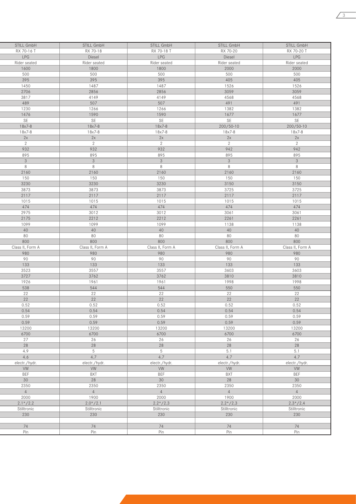| STILL GmbH       | STILL GmbH       | STILL GmbH       | STILL GmbH       | STILL GmbH        |
|------------------|------------------|------------------|------------------|-------------------|
| RX 70-16 T       | RX 70-18         | RX 70-18 T       | RX 70-20         | RX 70-20 T        |
| LPG              | Diesel           | LPG              | Diesel           | LPG               |
| Rider seated     | Rider seated     | Rider seated     | Rider seated     | Rider seated      |
| 1600             | 1800             | 1800             | 2000             | 2000              |
| 500              | 500              | 500              | 500              | 500               |
| 395              | 395              | 395              | 405              | 405               |
|                  |                  |                  |                  |                   |
| 1450             | 1487             | 1487             | 1526             | 1526              |
| 2706             | 2856             | 2856             | 3059             | 3059              |
| 3817             | 4149             | 4149             | 4568             | 4568              |
| 489              | 507              | 507              | 491              | 491               |
| 1230             | 1266             | 1266             | 1382             | 1382              |
| 1476             | 1590             | 1590             | 1677             | 1677              |
| SE               | SE               | SE               | SE               | SE                |
|                  |                  |                  |                  |                   |
| $18x7-8$         | $18x7-8$         | $18x7-8$         | 200/50-10        | 200/50-10         |
| $18x7-8$         | 18x7-8           | $18x7-8$         | $18x7-8$         | $18x7-8$          |
| 2x               | 2x               | 2x               | 2x               | 2x                |
| $\overline{2}$   | 2                | 2                | 2                | $\overline{2}$    |
| 932              | 932              | 932              | 942              | 942               |
| 895              | 895              | 895              | 895              | 895               |
| 3                | 3 <sup>1</sup>   | 3 <sup>7</sup>   | 3 <sup>1</sup>   | 3                 |
|                  |                  |                  |                  |                   |
| 8                | 8                | 8                | 8                | 8                 |
| 2160             | 2160             | 2160             | 2160             | 2160              |
| 150              | 150              | 150              | 150              | 150               |
| 3230             | 3230             | 3230             | 3150             | 3150              |
| 3873             | 3873             | 3873             | 3725             | 3725              |
| 2117             | 2117             | 2117             | 2117             | 2117              |
| 1015             | 1015             | 1015             | 1015             | 1015              |
| 474              | 474              | 474              | 474              | 474               |
|                  |                  |                  |                  |                   |
| 2975             | 3012             | 3012             | 3061             | 3061              |
| 2175             | 2212             | 2212             | 2261             | 2261              |
| 1099             | 1099             | 1099             | 1138             | 1138              |
| 40               | 40               | 40               | 40               | 40                |
| 80               | 80               | 80               | 80               | 80                |
| 800              | 800              | 800              | 800              | 800               |
|                  |                  |                  |                  |                   |
|                  |                  |                  |                  |                   |
| Class II, Form A | Class II, Form A | Class II, Form A | Class II, Form A | Class II, Form A  |
| 980              | 980              | 980              | 980              | 980               |
| 90               | 90               | 90               | 90               | 90                |
|                  | 133              | 133              | 133              |                   |
| $\boxed{133}$    |                  |                  |                  | 133               |
| 3523             | 3557             | 3557             | 3603             | 3603              |
| 3727             | 3762             | 3762             | 3810             | 3810              |
| 1926             | 1961             | 1961             | 1998             | 1998              |
| 538              | 544              | 544              | 550              | 550               |
| 22               | 22               | 22               | 22               | 22                |
| 22               | 22               | 22               | 22               | 22                |
| 0.52             | 0.52             | 0.52             | 0.52             | 0.52              |
|                  |                  |                  |                  |                   |
| 0.54             | 0.54             | 0.54             | 0.54             | 0.54              |
| 0.59             | 0.59             | 0.59             | 0.59             | 0.59              |
| 0.59             | 0.59             | 0.59             | 0.59             | 0.59              |
| 13200            | 13200            | 13200            | 13200            | 13200             |
| 6700             | 6700             | 6700             | 6700             | 6700              |
| 27               | 26               | 26               | 26               | 26                |
| 28               | 28               | 28               | 28               | 28                |
| 4.9              | $5\overline{)}$  | 5 <sup>5</sup>   | 5.1              | 5.1               |
| 4.6              | 4.7              | 4.7              | 4.7              | 4.7               |
|                  |                  |                  |                  |                   |
| electr./hydr.    | electr./hydr.    | electr./hydr.    | electr./hydr.    | electr./hydr.     |
| VW               | VW               | VW               | VW               | VW                |
| <b>BEF</b>       | <b>BXT</b>       | <b>BEF</b>       | <b>BXT</b>       | <b>BEF</b>        |
| 30               | 28               | 30               | 28               | 30                |
| 2350             | 2350             | 2350             | 2350             | 2350              |
| 4                | 4                | 4                | 4                | 4                 |
|                  |                  |                  |                  |                   |
| 2000             | 1900             | 2000             | 1900             | 2000              |
| $2.1*/2.2$       | $2.0*/2.1$       | $2.2*/2.3$       | $2.2*/2.3$       | $2.3 \times 72.4$ |
| Stilltronic      | Stilltronic      | Stilltronic      | Stilltronic      | Stilltronic       |
| 230              | 230              | 230              | 230              | 230               |
|                  |                  |                  |                  |                   |
| 74               | 74               | 74               | 74               | 74                |
| Pin              | Pin              | Pin              | Pin              | Pin               |

 $\sqrt{3}$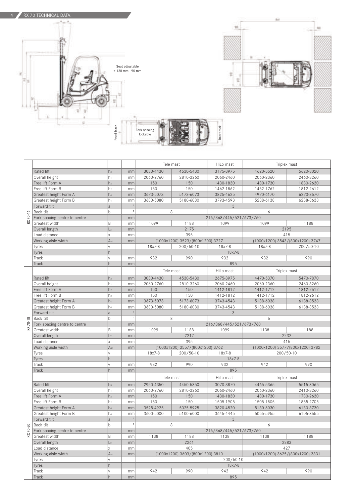



Rear track

|          |                                                                                                                                                                                         |                 |          | Tele mast                         |                                  | HiLo mast               | Triplex mast                     |                                  |  |  |
|----------|-----------------------------------------------------------------------------------------------------------------------------------------------------------------------------------------|-----------------|----------|-----------------------------------|----------------------------------|-------------------------|----------------------------------|----------------------------------|--|--|
|          | Rated lift                                                                                                                                                                              | h <sub>3</sub>  | mm       | 3030-4430                         | 4530-5430                        | 3175-3975               | 4620-5520                        | 5620-8020                        |  |  |
|          | Overall height                                                                                                                                                                          | h <sub>1</sub>  | mm       | 2060-2760                         | 2810-3260                        | 2060-2460               | 2060-2360                        | 2460-3260                        |  |  |
|          | Free lift Form A                                                                                                                                                                        | h <sub>2</sub>  | mm       | 150                               | 150                              | 1430-1830               | 1430-1730                        | 1830-2630                        |  |  |
|          | Free lift Form B                                                                                                                                                                        | h <sub>2</sub>  | mm       | 150                               | 150                              | 1462-1862               | 1462-1762                        | 1812-2612                        |  |  |
|          | Greatest height Form A                                                                                                                                                                  | h <sub>4</sub>  | mm       | 3673-5073                         | 5173-6073                        | 3825-4625               | 4970-6170                        | 6270-8670                        |  |  |
|          | Greatest height Form B                                                                                                                                                                  | h <sub>4</sub>  | mm       | 3680-5080                         | 5180-6080                        | 3793-4593               | 5238-6138                        | 6238-8638                        |  |  |
|          | Forward tilt                                                                                                                                                                            | a               | $\circ$  |                                   |                                  | 3                       |                                  |                                  |  |  |
|          | Back tilt                                                                                                                                                                               | $\mathsf b$     | $\circ$  | 8                                 |                                  | 6                       |                                  |                                  |  |  |
| RX 70-16 | Fork spacing centre to centre                                                                                                                                                           |                 | mm       | 216/368/445/521/673/760           |                                  |                         |                                  |                                  |  |  |
|          | Greatest width                                                                                                                                                                          | B               | mm       | 1099                              | 1188                             | 1099                    | 1099                             | 1188                             |  |  |
|          | Overall length                                                                                                                                                                          | L <sub>2</sub>  | mm       | 2175                              |                                  | 2195                    |                                  |                                  |  |  |
|          | Load distance                                                                                                                                                                           | $\times$        | mm       | 395                               |                                  |                         | 415                              |                                  |  |  |
|          | Working aisle width                                                                                                                                                                     | A <sub>st</sub> | mm       | (1000x1200) 3523/(800x1200) 3727  |                                  |                         | (1000x1200) 3543/(800x1200) 3747 |                                  |  |  |
|          | Tyres                                                                                                                                                                                   | V               |          | $18x7-8$                          | 200/50-10                        | $18x7-8$                | $18x7-8$                         | 200/50-10                        |  |  |
|          | Tyres                                                                                                                                                                                   | h               |          |                                   |                                  | $18x7-8$                |                                  |                                  |  |  |
|          | Track                                                                                                                                                                                   | $\vee$          | mm       | 932                               | 990                              | 932                     | 932                              | 990                              |  |  |
|          | Track                                                                                                                                                                                   | h               | mm       |                                   |                                  | 895                     |                                  |                                  |  |  |
|          |                                                                                                                                                                                         |                 |          | Tele mast                         |                                  | HiLo mast               | Triplex mast                     |                                  |  |  |
|          | Rated lift                                                                                                                                                                              | h <sub>3</sub>  | mm       | 3030-4430                         | 4530-5430                        | 2675-3975               | 4470-5370                        | 5470-7870                        |  |  |
|          | Overall height                                                                                                                                                                          | h <sub>1</sub>  | mm       | 2060-2760                         | 2810-3260                        | 2060-2460               | 2060-2360                        | 2460-3260                        |  |  |
|          | Free lift Form A                                                                                                                                                                        | h <sub>2</sub>  | mm       | 150                               | 150                              | 1412-1812               | 1412-1712                        | 1812-2612                        |  |  |
|          | Free lift Form B                                                                                                                                                                        | h <sub>2</sub>  | mm       | 150                               | 150                              | 1412-1812               | 1412-1712                        | 1812-2612                        |  |  |
|          | Greatest height Form A                                                                                                                                                                  | h <sub>4</sub>  | mm       | 3673-5073                         | 5173-6073                        | 3743-4543               | 5138-6038                        | 6138-8538                        |  |  |
|          | Greatest height Form B                                                                                                                                                                  | h <sub>4</sub>  | mm       | 3680-5080                         | 5180-6080                        | 3743-4543               | 5138-6038                        | 6138-8538                        |  |  |
|          | Forward tilt                                                                                                                                                                            | a               | $\circ$  |                                   |                                  | 3                       |                                  |                                  |  |  |
|          | Back tilt                                                                                                                                                                               | $\mathsf b$     | $\circ$  | 8<br>6                            |                                  |                         |                                  |                                  |  |  |
| RX 70-18 | Fork spacing centre to centre                                                                                                                                                           |                 | mm       |                                   |                                  | 216/368/445/521/673/760 |                                  |                                  |  |  |
|          | Greatest width                                                                                                                                                                          | B               | mm       | 1099                              | 1188                             | 1099                    | 1138                             | 1188                             |  |  |
|          | Overall length                                                                                                                                                                          | L <sub>2</sub>  | mm       | 2212                              |                                  |                         | 2232                             |                                  |  |  |
|          | Load distance                                                                                                                                                                           | $\times$        | mm       | 395                               |                                  |                         | 415                              |                                  |  |  |
|          | Working aisle width                                                                                                                                                                     | A <sub>st</sub> | mm       |                                   | (1000x1200) 3557/(800x1200) 3762 |                         |                                  | (1000x1200) 3577/(800x1200) 3782 |  |  |
|          | Tyres                                                                                                                                                                                   | V               |          | $18x7-8$<br>200/50-10<br>$18x7-8$ |                                  | 200/50-10               |                                  |                                  |  |  |
|          | Tyres                                                                                                                                                                                   | h               |          |                                   |                                  | $18x7-8$                |                                  |                                  |  |  |
|          | Track                                                                                                                                                                                   | V               | mm       | 932                               | 990                              | 932                     | 942                              | 990                              |  |  |
|          | Track                                                                                                                                                                                   | h               | mm       | 895                               |                                  |                         |                                  |                                  |  |  |
|          |                                                                                                                                                                                         |                 |          | Tele mast<br>HiLo mast            |                                  |                         | Triplex mast                     |                                  |  |  |
|          | Rated lift                                                                                                                                                                              | h <sub>3</sub>  | mm       | 2950-4350                         | 4450-5350                        | 3070-3870               | 4465-5365                        | 5515-8065                        |  |  |
|          | Overall height                                                                                                                                                                          | hı              | mm       | 2060-2760                         | 2810-3260                        | 2060-2460               | 2060-2360                        | 2410-3260                        |  |  |
|          | Free lift Form A                                                                                                                                                                        | h <sub>2</sub>  | mm       | 150                               | 150                              | 1430-1830               | 1430-1730                        | 1780-2630                        |  |  |
|          | Free lift Form B                                                                                                                                                                        | h <sub>2</sub>  | mm       | 150                               | 150                              | 1505-1905               | 1505-1805                        | 1855-2705                        |  |  |
|          | Greatest height Form A                                                                                                                                                                  | h <sub>4</sub>  | mm       | 3525-4925                         | 5025-5925                        | 3820-4520               | 5130-6030                        | 6180-8730                        |  |  |
|          | Greatest height Form B                                                                                                                                                                  | h <sub>4</sub>  | mm       | 3600-5000                         | 5100-6000                        | 3645-4445               | 5055-5955                        | 6105-8655                        |  |  |
|          | Forward tilt                                                                                                                                                                            | a               | $\circ$  |                                   |                                  | 3                       |                                  |                                  |  |  |
|          |                                                                                                                                                                                         | $\mathbf b$     | $^\circ$ | 8                                 |                                  |                         | 6                                |                                  |  |  |
|          | $\begin{array}{c c}\n\hline\n\infty & \text{Back tilt} \\ \hline\n\infty & \text{Fork spa} \\ \hline\n\infty & \text{Greatest} \\ \hline\n\end{array}$<br>Fork spacing centre to centre |                 | mm       | 216/368/445/521/673/760           |                                  |                         |                                  |                                  |  |  |
|          | Greatest width                                                                                                                                                                          | B               | mm       | 1138<br>1188<br>1138              |                                  |                         | 1138                             | 1188                             |  |  |
|          | Overall length                                                                                                                                                                          | L <sub>2</sub>  | mm       | 2261                              |                                  |                         | 2283                             |                                  |  |  |
|          | Load distance                                                                                                                                                                           | $\mathsf X$     | mm       | 405                               |                                  |                         | 427                              |                                  |  |  |
|          | Working aisle width                                                                                                                                                                     | A <sub>st</sub> | mm       | (1000x1200) 3603/(800x1200) 3810  |                                  |                         | (1000x1200) 3625/(800x1200) 3831 |                                  |  |  |
|          | Tyres                                                                                                                                                                                   | $\mathsf{V}$    |          |                                   |                                  | 200/50-10               |                                  |                                  |  |  |
|          | Tyres                                                                                                                                                                                   | h               |          | $18x7-8$                          |                                  |                         |                                  |                                  |  |  |
|          | Track                                                                                                                                                                                   | $\mathsf{V}$    | mm       | 942                               | 990                              | 942                     | 942                              | 990                              |  |  |
|          | Track                                                                                                                                                                                   | h               | mm       | 895                               |                                  |                         |                                  |                                  |  |  |

æ

Ĕσ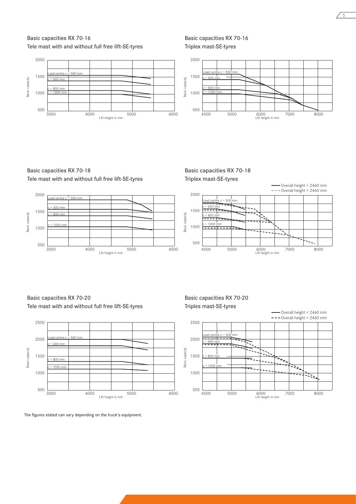## Basic capacities RX 70-16 Tele mast with and without full free lift-SE-tyres



Basic capacities RX 70-16 Triplex mast-SE-tyres



Basic capacities RX 70-18 Tele mast with and without full free lift-SE-tyres



Basic capacities RX 70-18 Triplex mast-SE-tyres



Basic capacities RX 70-20 Tele mast with and without full free lift-SE-tyres



The figures stated can vary depending on the truck's equipment.

### Basic capacities RX 70-20 Triples mast-SE-tyres

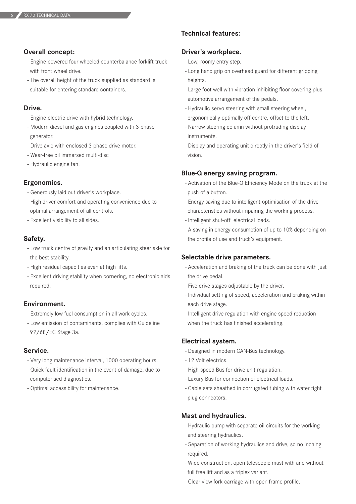### **Overall concept:**

- Engine powered four wheeled counterbalance forklift truck with front wheel drive.
- The overall height of the truck supplied as standard is suitable for entering standard containers.

### **Drive.**

- Engine-electric drive with hybrid technology.
- Modern diesel and gas engines coupled with 3-phase generator.
- Drive axle with enclosed 3-phase drive motor.
- Wear-free oil immersed multi-disc
- Hydraulic engine fan.

### **Ergonomics.**

- Generously laid out driver's workplace.
- High driver comfort and operating convenience due to optimal arrangement of all controls.
- Excellent visibility to all sides.

#### **Safety.**

- Low truck centre of gravity and an articulating steer axle for the best stability.
- High residual capacities even at high lifts.
- Excellent driving stability when cornering, no electronic aids required.

### **Environment.**

- Extremely low fuel consumption in all work cycles.
- Low emission of contaminants, complies with Guideline 97/68/EC Stage 3a.

### **Service.**

- Very long maintenance interval, 1000 operating hours.
- Quick fault identification in the event of damage, due to computerised diagnostics.
- Optimal accessibility for maintenance.

# **Technical features:**

### **Driver's workplace.**

- Low, roomy entry step.
- Long hand grip on overhead guard for different gripping heights.
- Large foot well with vibration inhibiting floor covering plus automotive arrangement of the pedals.
- Hydraulic servo steering with small steering wheel, ergonomically optimally off centre, offset to the left.
- Narrow steering column without protruding display instruments.
- Display and operating unit directly in the driver's field of vision.

### **Blue-Q energy saving program.**

- Activation of the Blue-Q Efficiency Mode on the truck at the push of a button.
- Energy saving due to intelligent optimisation of the drive characteristics without impairing the working process.
- Intelligent shut-off electrical loads.
- A saving in energy consumption of up to 10% depending on the profile of use and truck's equipment.

#### **Selectable drive parameters.**

- Acceleration and braking of the truck can be done with just the drive pedal.
- Five drive stages adjustable by the driver.
- Individual setting of speed, acceleration and braking within each drive stage.
- Intelligent drive regulation with engine speed reduction when the truck has finished accelerating.

#### **Electrical system.**

- Designed in modern CAN-Bus technology.
- 12 Volt electrics.
- High-speed Bus for drive unit regulation.
- Luxury Bus for connection of electrical loads.
- Cable sets sheathed in corrugated tubing with water tight plug connectors.

#### **Mast and hydraulics.**

- Hydraulic pump with separate oil circuits for the working and steering hydraulics.
- Separation of working hydraulics and drive, so no inching required.
- Wide construction, open telescopic mast with and without full free lift and as a triplex variant.
- Clear view fork carriage with open frame profile.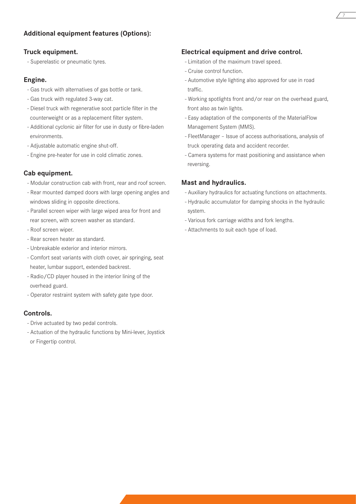# **Additional equipment features (Options):**

### **Truck equipment.**

- Superelastic or pneumatic tyres.

## **Engine.**

- Gas truck with alternatives of gas bottle or tank.
- Gas truck with regulated 3-way cat.
- Diesel truck with regenerative soot particle filter in the counterweight or as a replacement filter system.
- Additional cyclonic air filter for use in dusty or fibre-laden environments.
- Adjustable automatic engine shut-off.
- Engine pre-heater for use in cold climatic zones.

# **Cab equipment.**

- Modular construction cab with front, rear and roof screen.
- Rear mounted damped doors with large opening angles and windows sliding in opposite directions.
- Parallel screen wiper with large wiped area for front and rear screen, with screen washer as standard.
- Roof screen wiper.
- Rear screen heater as standard.
- Unbreakable exterior and interior mirrors.
- Comfort seat variants with cloth cover, air springing, seat heater, lumbar support, extended backrest.
- Radio/CD player housed in the interior lining of the overhead guard.
- Operator restraint system with safety gate type door.

# **Controls.**

- Drive actuated by two pedal controls.
- Actuation of the hydraulic functions by Mini-lever, Joystick or Fingertip control.

# **Electrical equipment and drive control.**

- Limitation of the maximum travel speed.
- Cruise control function.
- Automotive style lighting also approved for use in road traffic.
- Working spotlights front and/or rear on the overhead guard, front also as twin lights.
- Easy adaptation of the components of the MaterialFlow Management System (MMS).
- FleetManager Issue of access authorisations, analysis of truck operating data and accident recorder.
- Camera systems for mast positioning and assistance when reversing.

# **Mast and hydraulics.**

- Auxiliary hydraulics for actuating functions on attachments.
- Hydraulic accumulator for damping shocks in the hydraulic system.
- Various fork carriage widths and fork lengths.
- Attachments to suit each type of load.